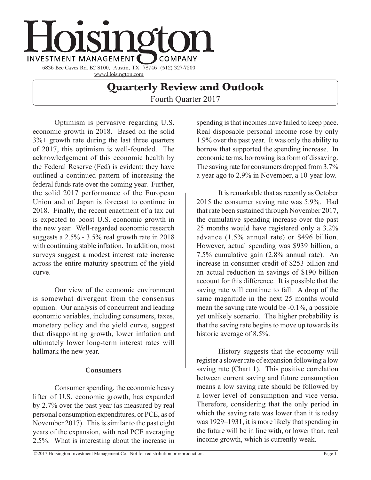

# **Quarterly Review and Outlook**

Fourth Quarter 2017

Optimism is pervasive regarding U.S. economic growth in 2018. Based on the solid 3%+ growth rate during the last three quarters of 2017, this optimism is well-founded. The acknowledgement of this economic health by the Federal Reserve (Fed) is evident: they have outlined a continued pattern of increasing the federal funds rate over the coming year. Further, the solid 2017 performance of the European Union and of Japan is forecast to continue in 2018. Finally, the recent enactment of a tax cut is expected to boost U.S. economic growth in the new year. Well-regarded economic research suggests a 2.5% - 3.5% real growth rate in 2018 with continuing stable inflation. In addition, most surveys suggest a modest interest rate increase across the entire maturity spectrum of the yield curve.

Our view of the economic environment is somewhat divergent from the consensus opinion. Our analysis of concurrent and leading economic variables, including consumers, taxes, monetary policy and the yield curve, suggest that disappointing growth, lower inflation and ultimately lower long-term interest rates will hallmark the new year.

### **Consumers**

Consumer spending, the economic heavy lifter of U.S. economic growth, has expanded by 2.7% over the past year (as measured by real personal consumption expenditures, or PCE, as of November 2017). This is similar to the past eight years of the expansion, with real PCE averaging 2.5%. What is interesting about the increase in

spending is that incomes have failed to keep pace. Real disposable personal income rose by only 1.9% over the past year. It was only the ability to borrow that supported the spending increase. In economic terms, borrowing is a form of dissaving. The saving rate for consumers dropped from 3.7% a year ago to 2.9% in November, a 10-year low.

It is remarkable that as recently as October 2015 the consumer saving rate was 5.9%. Had that rate been sustained through November 2017, the cumulative spending increase over the past 25 months would have registered only a 3.2% advance (1.5% annual rate) or \$496 billion. However, actual spending was \$939 billion, a 7.5% cumulative gain (2.8% annual rate). An increase in consumer credit of \$253 billion and an actual reduction in savings of \$190 billion account for this difference. It is possible that the saving rate will continue to fall. A drop of the same magnitude in the next 25 months would mean the saving rate would be -0.1%, a possible yet unlikely scenario. The higher probability is that the saving rate begins to move up towards its historic average of 8.5%.

History suggests that the economy will register a slower rate of expansion following a low saving rate (Chart 1). This positive correlation between current saving and future consumption means a low saving rate should be followed by a lower level of consumption and vice versa. Therefore, considering that the only period in which the saving rate was lower than it is today was 1929–1931, it is more likely that spending in the future will be in line with, or lower than, real income growth, which is currently weak.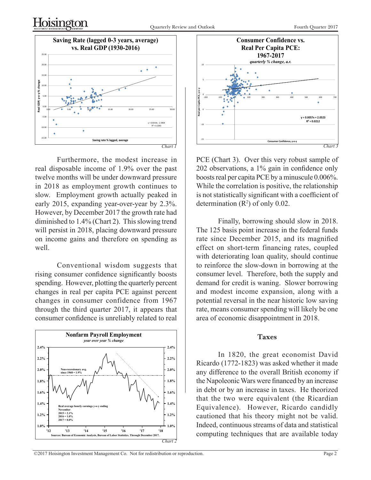

Furthermore, the modest increase in real disposable income of 1.9% over the past twelve months will be under downward pressure in 2018 as employment growth continues to slow. Employment growth actually peaked in early 2015, expanding year-over-year by 2.3%. However, by December 2017 the growth rate had diminished to 1.4% (Chart 2). This slowing trend will persist in 2018, placing downward pressure on income gains and therefore on spending as well.

Conventional wisdom suggests that rising consumer confidence significantly boosts spending. However, plotting the quarterly percent changes in real per capita PCE against percent changes in consumer confidence from 1967 through the third quarter 2017, it appears that consumer confidence is unreliably related to real





PCE (Chart 3). Over this very robust sample of 202 observations, a 1% gain in confidence only boosts real per capita PCE by a minuscule 0.006%. While the correlation is positive, the relationship is not statistically significant with a coefficient of determination  $(R^2)$  of only 0.02.

Finally, borrowing should slow in 2018. The 125 basis point increase in the federal funds rate since December 2015, and its magnified effect on short-term financing rates, coupled with deteriorating loan quality, should continue to reinforce the slow-down in borrowing at the consumer level. Therefore, both the supply and demand for credit is waning. Slower borrowing and modest income expansion, along with a potential reversal in the near historic low saving rate, means consumer spending will likely be one area of economic disappointment in 2018.

#### **Taxes**

In 1820, the great economist David Ricardo (1772-1823) was asked whether it made any difference to the overall British economy if the Napoleonic Wars were financed by an increase in debt or by an increase in taxes. He theorized that the two were equivalent (the Ricardian Equivalence). However, Ricardo candidly cautioned that his theory might not be valid. Indeed, continuous streams of data and statistical THE TREVELT, THE TREVELT, COMPUTING THE SUPPOSE OF ANALY AND SUPPOSED CONDUCTS.<br>Treau of Economic Analysis, Bureau of Labor Statistics. Through December 2017. **COMPUTING techniques that are available today**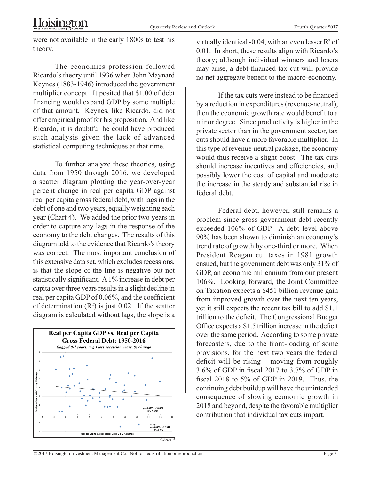were not available in the early 1800s to test his theory.

The economics profession followed Ricardo's theory until 1936 when John Maynard Keynes (1883-1946) introduced the government multiplier concept. It posited that \$1.00 of debt financing would expand GDP by some multiple of that amount. Keynes, like Ricardo, did not offer empirical proof for his proposition. And like Ricardo, it is doubtful he could have produced such analysis given the lack of advanced statistical computing techniques at that time.

To further analyze these theories, using data from 1950 through 2016, we developed a scatter diagram plotting the year-over-year percent change in real per capita GDP against real per capita gross federal debt, with lags in the debt of one and two years, equally weighting each year (Chart 4). We added the prior two years in order to capture any lags in the response of the economy to the debt changes. The results of this diagram add to the evidence that Ricardo's theory was correct. The most important conclusion of this extensive data set, which excludes recessions, is that the slope of the line is negative but not statistically significant. A 1% increase in debt per capita over three years results in a slight decline in real per capita GDP of 0.06%, and the coefficient of determination  $(R^2)$  is just 0.02. If the scatter diagram is calculated without lags, the slope is a



virtually identical -0.04, with an even lesser  $R^2$  of 0.01. In short, these results align with Ricardo's theory; although individual winners and losers may arise, a debt-financed tax cut will provide no net aggregate benefit to the macro-economy.

If the tax cuts were instead to be financed by a reduction in expenditures (revenue-neutral), then the economic growth rate would benefit to a minor degree. Since productivity is higher in the private sector than in the government sector, tax cuts should have a more favorable multiplier. In this type of revenue-neutral package, the economy would thus receive a slight boost. The tax cuts should increase incentives and efficiencies, and possibly lower the cost of capital and moderate the increase in the steady and substantial rise in federal debt.

Federal debt, however, still remains a problem since gross government debt recently exceeded 106% of GDP. A debt level above 90% has been shown to diminish an economy's trend rate of growth by one-third or more. When President Reagan cut taxes in 1981 growth ensued, but the government debt was only 31% of GDP, an economic millennium from our present 106%. Looking forward, the Joint Committee on Taxation expects a \$451 billion revenue gain from improved growth over the next ten years, yet it still expects the recent tax bill to add \$1.1 trillion to the deficit. The Congressional Budget Office expects a \$1.5 trillion increase in the deficit over the same period. According to some private forecasters, due to the front-loading of some provisions, for the next two years the federal deficit will be rising – moving from roughly 3.6% of GDP in fiscal 2017 to 3.7% of GDP in fiscal 2018 to 5% of GDP in 2019. Thus, the continuing debt buildup will have the unintended consequence of slowing economic growth in 2018 and beyond, despite the favorable multiplier contribution that individual tax cuts impart.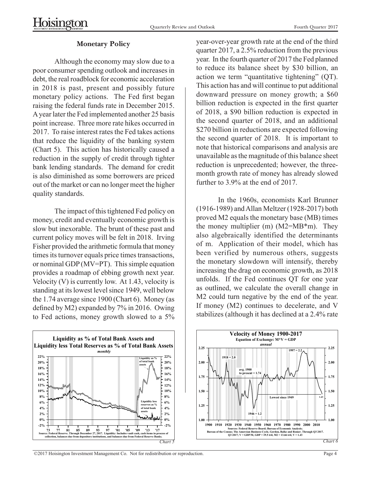#### **Monetary Policy**

Although the economy may slow due to a poor consumer spending outlook and increases in debt, the real roadblock for economic acceleration in 2018 is past, present and possibly future monetary policy actions. The Fed first began raising the federal funds rate in December 2015. A year later the Fed implemented another 25 basis point increase. Three more rate hikes occurred in 2017. To raise interest rates the Fed takes actions that reduce the liquidity of the banking system (Chart 5). This action has historically caused a reduction in the supply of credit through tighter bank lending standards. The demand for credit is also diminished as some borrowers are priced out of the market or can no longer meet the higher quality standards.

The impact of this tightened Fed policy on money, credit and eventually economic growth is slow but inexorable. The brunt of these past and current policy moves will be felt in 2018. Irving Fisher provided the arithmetic formula that money times its turnover equals price times transactions, or nominal GDP (MV=PT). This simple equation provides a roadmap of ebbing growth next year. Velocity  $(V)$  is currently low. At 1.43, velocity is standing at its lowest level since 1949, well below the 1.74 average since 1900 (Chart 6). Money (as defined by M2) expanded by 7% in 2016. Owing to Fed actions, money growth slowed to a 5%



year-over-year growth rate at the end of the third quarter 2017, a 2.5% reduction from the previous year. In the fourth quarter of 2017 the Fed planned to reduce its balance sheet by \$30 billion, an action we term "quantitative tightening" (QT). This action has and will continue to put additional downward pressure on money growth; a \$60 billion reduction is expected in the first quarter of 2018, a \$90 billion reduction is expected in the second quarter of 2018, and an additional \$270 billion in reductions are expected following the second quarter of 2018. It is important to note that historical comparisons and analysis are unavailable as the magnitude of this balance sheet reduction is unprecedented; however, the threemonth growth rate of money has already slowed further to 3.9% at the end of 2017.

In the 1960s, economists Karl Brunner (1916-1989) and Allan Meltzer (1928-2017) both proved M2 equals the monetary base (MB) times the money multiplier (m)  $(M2=MB*m)$ . They also algebraically identified the determinants of m. Application of their model, which has been verified by numerous others, suggests the monetary slowdown will intensify, thereby increasing the drag on economic growth, as 2018 unfolds. If the Fed continues QT for one year as outlined, we calculate the overall change in M2 could turn negative by the end of the year. If money (M2) continues to decelerate, and V stabilizes (although it has declined at a 2.4% rate



©2017 Hoisington Investment Management Co. Not for redistribution or reproduction. Page 4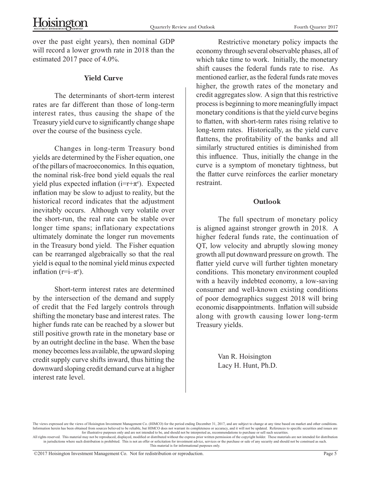over the past eight years), then nominal GDP will record a lower growth rate in 2018 than the estimated 2017 pace of 4.0%.

### **Yield Curve**

The determinants of short-term interest rates are far different than those of long-term interest rates, thus causing the shape of the Treasury yield curve to significantly change shape over the course of the business cycle.

Changes in long-term Treasury bond yields are determined by the Fisher equation, one of the pillars of macroeconomics. In this equation, the nominal risk-free bond yield equals the real yield plus expected inflation  $(i=r+\pi^e)$ . Expected inflation may be slow to adjust to reality, but the historical record indicates that the adjustment inevitably occurs. Although very volatile over the short-run, the real rate can be stable over longer time spans; inflationary expectations ultimately dominate the longer run movements in the Treasury bond yield. The Fisher equation can be rearranged algebraically so that the real yield is equal to the nominal yield minus expected inflation ( $r=i-\pi$ <sup>e</sup>).

Short-term interest rates are determined by the intersection of the demand and supply of credit that the Fed largely controls through shifting the monetary base and interest rates. The higher funds rate can be reached by a slower but still positive growth rate in the monetary base or by an outright decline in the base. When the base money becomes less available, the upward sloping credit supply curve shifts inward, thus hitting the downward sloping credit demand curve at a higher interest rate level.

Restrictive monetary policy impacts the economy through several observable phases, all of which take time to work. Initially, the monetary shift causes the federal funds rate to rise. As mentioned earlier, as the federal funds rate moves higher, the growth rates of the monetary and credit aggregates slow. A sign that this restrictive process is beginning to more meaningfully impact monetary conditions is that the yield curve begins to flatten, with short-term rates rising relative to long-term rates. Historically, as the yield curve flattens, the profitability of the banks and all similarly structured entities is diminished from this influence. Thus, initially the change in the curve is a symptom of monetary tightness, but the flatter curve reinforces the earlier monetary restraint.

## **Outlook**

The full spectrum of monetary policy is aligned against stronger growth in 2018. A higher federal funds rate, the continuation of QT, low velocity and abruptly slowing money growth all put downward pressure on growth. The flatter yield curve will further tighten monetary conditions. This monetary environment coupled with a heavily indebted economy, a low-saving consumer and well-known existing conditions of poor demographics suggest 2018 will bring economic disappointments. Inflation will subside along with growth causing lower long-term Treasury yields.

> Van R. Hoisington Lacy H. Hunt, Ph.D.

The views expressed are the views of Hoisington Investment Management Co. (HIMCO) for the period ending December 31, 2017, and are subject to change at any time based on market and other conditions Information herein has been obtained from sources believed to be reliable, but HIMCO does not warrant its completeness or accuracy, and it will not be updated. References to specific securities and issues are for illustrative purposes only and are not intended to be, and should not be interpreted as, recommendations to purchase or sell such securities.<br>All rights reserved. This material may not be reproduced, displayed, modifie

in jurisdictions where such distribution is prohibited. This is not an offer or solicitation for investment advice, services or the purchase or sale of any security and should not be construed as such. This material is for informational purposes only.